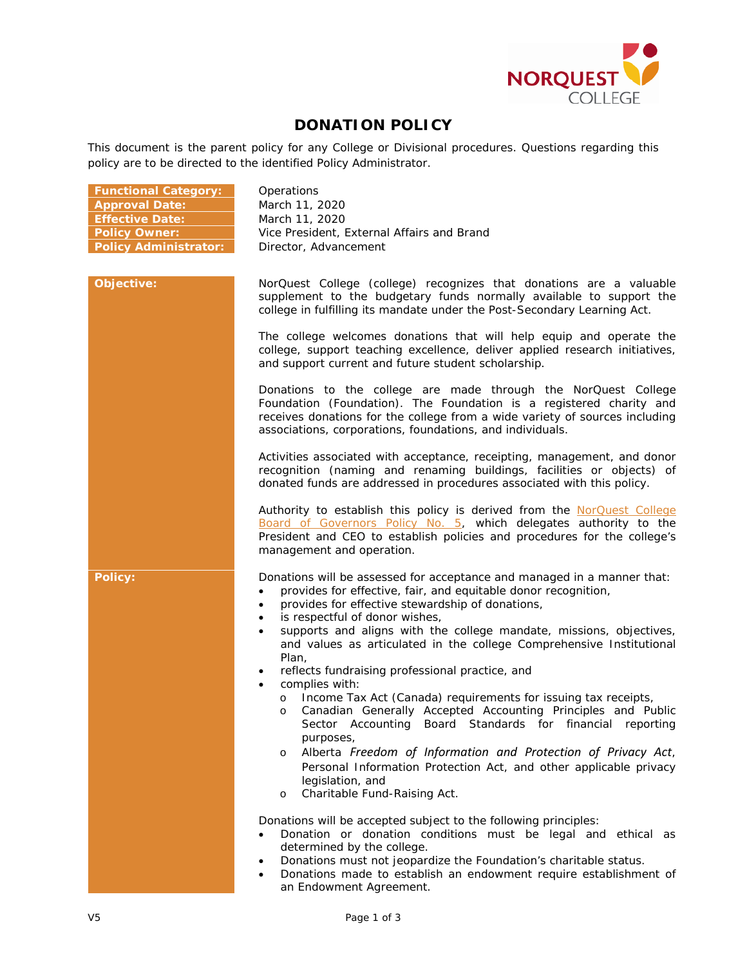

## **DONATION POLICY**

This document is the parent policy for any College or Divisional procedures. Questions regarding this policy are to be directed to the identified Policy Administrator.

| <b>Functional Category:</b>  | Operations                                                                                                                                                                                                                                                                                                                                                                                                            |
|------------------------------|-----------------------------------------------------------------------------------------------------------------------------------------------------------------------------------------------------------------------------------------------------------------------------------------------------------------------------------------------------------------------------------------------------------------------|
| <b>Approval Date:</b>        | March 11, 2020                                                                                                                                                                                                                                                                                                                                                                                                        |
| <b>Effective Date:</b>       | March 11, 2020                                                                                                                                                                                                                                                                                                                                                                                                        |
| <b>Policy Owner:</b>         | Vice President, External Affairs and Brand                                                                                                                                                                                                                                                                                                                                                                            |
| <b>Policy Administrator:</b> | Director, Advancement                                                                                                                                                                                                                                                                                                                                                                                                 |
|                              |                                                                                                                                                                                                                                                                                                                                                                                                                       |
| Objective:                   | NorQuest College (college) recognizes that donations are a valuable<br>supplement to the budgetary funds normally available to support the<br>college in fulfilling its mandate under the Post-Secondary Learning Act.                                                                                                                                                                                                |
|                              | The college welcomes donations that will help equip and operate the<br>college, support teaching excellence, deliver applied research initiatives,<br>and support current and future student scholarship.                                                                                                                                                                                                             |
|                              | Donations to the college are made through the NorQuest College<br>Foundation (Foundation). The Foundation is a registered charity and<br>receives donations for the college from a wide variety of sources including<br>associations, corporations, foundations, and individuals.                                                                                                                                     |
|                              | Activities associated with acceptance, receipting, management, and donor<br>recognition (naming and renaming buildings, facilities or objects) of<br>donated funds are addressed in procedures associated with this policy.                                                                                                                                                                                           |
|                              | Authority to establish this policy is derived from the NorQuest College<br>Board of Governors Policy No. 5, which delegates authority to the<br>President and CEO to establish policies and procedures for the college's<br>management and operation.                                                                                                                                                                 |
| <b>Policy:</b>               | Donations will be assessed for acceptance and managed in a manner that:<br>provides for effective, fair, and equitable donor recognition,<br>$\bullet$<br>provides for effective stewardship of donations,<br>$\bullet$<br>is respectful of donor wishes,<br>$\bullet$<br>supports and aligns with the college mandate, missions, objectives,<br>and values as articulated in the college Comprehensive Institutional |
|                              | Plan,<br>reflects fundraising professional practice, and<br>$\bullet$<br>complies with:<br>$\bullet$                                                                                                                                                                                                                                                                                                                  |
|                              | Income Tax Act (Canada) requirements for issuing tax receipts,<br>$\circ$<br>Canadian Generally Accepted Accounting Principles and Public<br>$\circ$<br>Sector Accounting<br>Board Standards for financial reporting<br>purposes,                                                                                                                                                                                     |
|                              | Alberta Freedom of Information and Protection of Privacy Act,<br>O<br>Personal Information Protection Act, and other applicable privacy<br>legislation, and<br>Charitable Fund-Raising Act.<br>$\circ$                                                                                                                                                                                                                |
|                              | Donations will be accepted subject to the following principles:<br>Donation or donation conditions must be legal and ethical as<br>determined by the college.<br>Donations must not jeopardize the Foundation's charitable status.<br>$\bullet$<br>Donations made to establish an endowment require establishment of<br>an Endowment Agreement.                                                                       |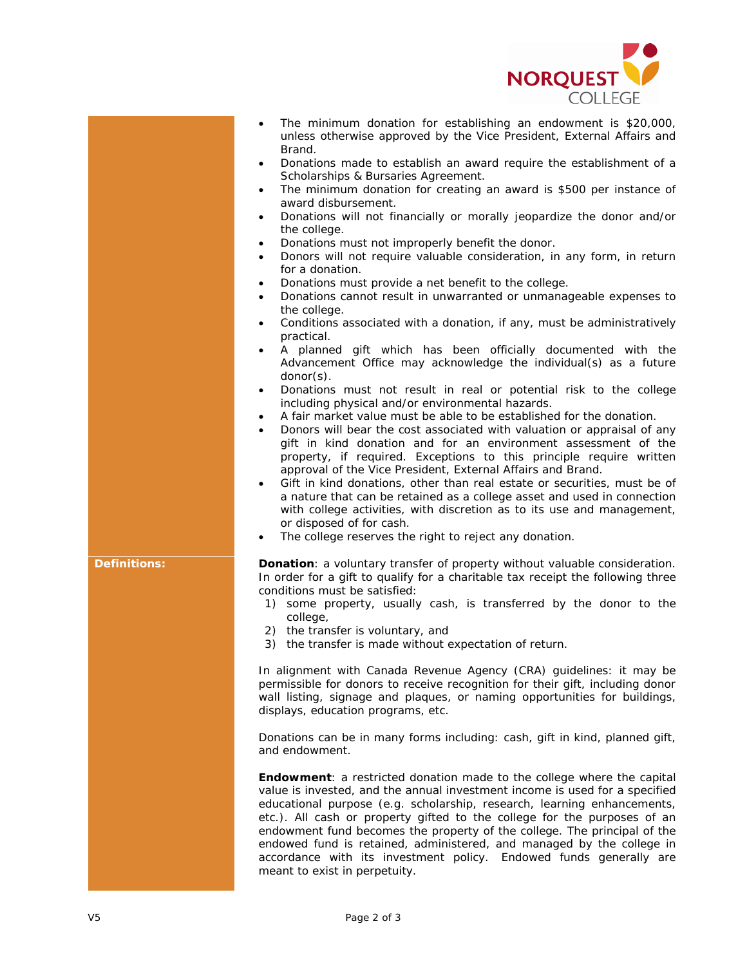

- The minimum donation for establishing an endowment is \$20,000, unless otherwise approved by the Vice President, External Affairs and Brand.
- Donations made to establish an award require the establishment of a Scholarships & Bursaries Agreement.
- The minimum donation for creating an award is \$500 per instance of award disbursement.
- Donations will not financially or morally jeopardize the donor and/or the college.
- Donations must not improperly benefit the donor.
- Donors will not require valuable consideration, in any form, in return for a donation.
- Donations must provide a net benefit to the college.
- Donations cannot result in unwarranted or unmanageable expenses to the college.
- Conditions associated with a donation, if any, must be administratively practical.
- A planned gift which has been officially documented with the Advancement Office may acknowledge the individual(s) as a future donor(s).
- Donations must not result in real or potential risk to the college including physical and/or environmental hazards.
- A fair market value must be able to be established for the donation.
- Donors will bear the cost associated with valuation or appraisal of any gift in kind donation and for an environment assessment of the property, if required. Exceptions to this principle require written approval of the Vice President, External Affairs and Brand.
- Gift in kind donations, other than real estate or securities, must be of a nature that can be retained as a college asset and used in connection with college activities, with discretion as to its use and management, or disposed of for cash.
- The college reserves the right to reject any donation.

**Definitions: Donation**: a voluntary transfer of property without valuable consideration. In order for a gift to qualify for a charitable tax receipt the following three conditions must be satisfied:

- 1) some property, usually cash, is transferred by the donor to the college,
- 2) the transfer is voluntary, and
- 3) the transfer is made without expectation of return.

In alignment with Canada Revenue Agency (CRA) guidelines: it may be permissible for donors to receive recognition for their gift, including donor wall listing, signage and plaques, or naming opportunities for buildings, displays, education programs, etc.

Donations can be in many forms including: cash, gift in kind, planned gift, and endowment.

**Endowment**: a restricted donation made to the college where the capital value is invested, and the annual investment income is used for a specified educational purpose (e.g. scholarship, research, learning enhancements, etc.). All cash or property gifted to the college for the purposes of an endowment fund becomes the property of the college. The principal of the endowed fund is retained, administered, and managed by the college in accordance with its investment policy. Endowed funds generally are meant to exist in perpetuity.